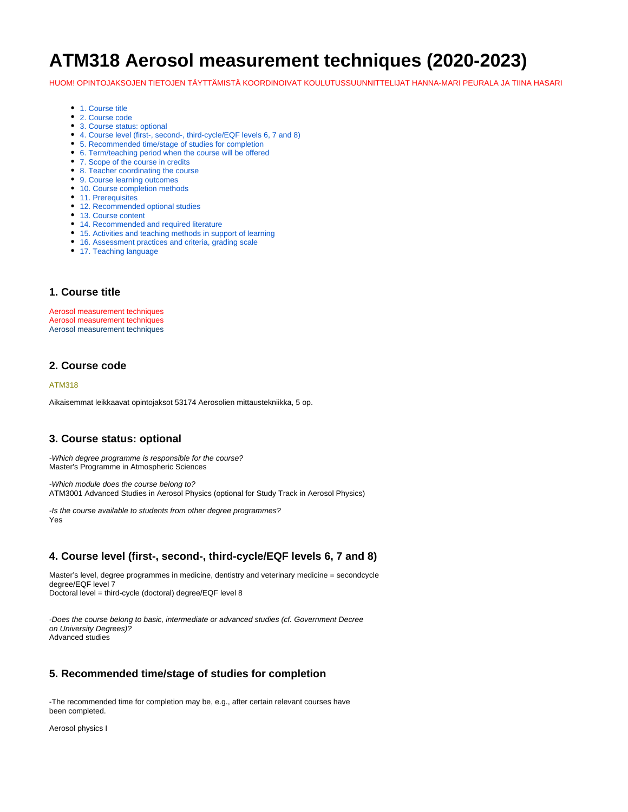# **ATM318 Aerosol measurement techniques (2020-2023)**

HUOM! OPINTOJAKSOJEN TIETOJEN TÄYTTÄMISTÄ KOORDINOIVAT KOULUTUSSUUNNITTELIJAT HANNA-MARI PEURALA JA TIINA HASARI

- [1. Course title](#page-0-0)
- [2. Course code](#page-0-1)
- [3. Course status: optional](#page-0-2)
- [4. Course level \(first-, second-, third-cycle/EQF levels 6, 7 and 8\)](#page-0-3)
- [5. Recommended time/stage of studies for completion](#page-0-4)
- [6. Term/teaching period when the course will be offered](#page-1-0)
- [7. Scope of the course in credits](#page-1-1)
- [8. Teacher coordinating the course](#page-1-2)
- [9. Course learning outcomes](#page-1-3)
- [10. Course completion methods](#page-1-4)
- [11. Prerequisites](#page-1-5)
- [12. Recommended optional studies](#page-1-6)
- [13. Course content](#page-1-7)
- [14. Recommended and required literature](#page-1-8)
- [15. Activities and teaching methods in support of learning](#page-2-0)
- [16. Assessment practices and criteria, grading scale](#page-2-1)
- [17. Teaching language](#page-2-2)

#### <span id="page-0-0"></span>**1. Course title**

Aerosol measurement techniques Aerosol measurement techniques Aerosol measurement techniques

# <span id="page-0-1"></span>**2. Course code**

#### ATM318

Aikaisemmat leikkaavat opintojaksot 53174 Aerosolien mittaustekniikka, 5 op.

#### <span id="page-0-2"></span>**3. Course status: optional**

-Which degree programme is responsible for the course? Master's Programme in Atmospheric Sciences

-Which module does the course belong to? ATM3001 Advanced Studies in Aerosol Physics (optional for Study Track in Aerosol Physics)

-Is the course available to students from other degree programmes? Yes

# <span id="page-0-3"></span>**4. Course level (first-, second-, third-cycle/EQF levels 6, 7 and 8)**

Master's level, degree programmes in medicine, dentistry and veterinary medicine = secondcycle degree/EQF level 7 Doctoral level = third-cycle (doctoral) degree/EQF level 8

-Does the course belong to basic, intermediate or advanced studies (cf. Government Decree on University Degrees)? Advanced studies

# <span id="page-0-4"></span>**5. Recommended time/stage of studies for completion**

-The recommended time for completion may be, e.g., after certain relevant courses have been completed.

Aerosol physics I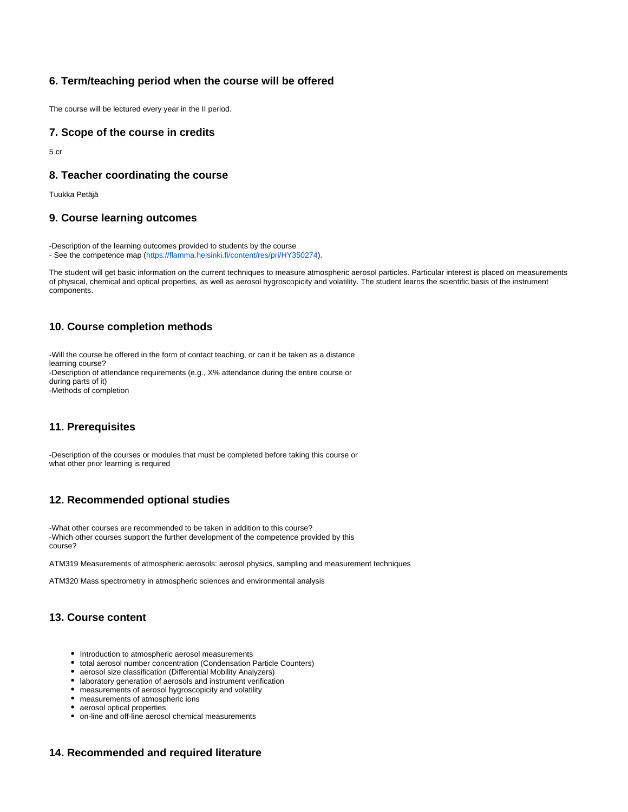# <span id="page-1-0"></span>**6. Term/teaching period when the course will be offered**

The course will be lectured every year in the II period.

#### <span id="page-1-1"></span>**7. Scope of the course in credits**

5 cr

### <span id="page-1-2"></span>**8. Teacher coordinating the course**

Tuukka Petäjä

#### <span id="page-1-3"></span>**9. Course learning outcomes**

-Description of the learning outcomes provided to students by the course - See the competence map ([https://flamma.helsinki.fi/content/res/pri/HY350274\)](https://flamma.helsinki.fi/content/res/pri/HY350274).

The student will get basic information on the current techniques to measure atmospheric aerosol particles. Particular interest is placed on measurements of physical, chemical and optical properties, as well as aerosol hygroscopicity and volatility. The student learns the scientific basis of the instrument components.

# <span id="page-1-4"></span>**10. Course completion methods**

-Will the course be offered in the form of contact teaching, or can it be taken as a distance learning course? -Description of attendance requirements (e.g., X% attendance during the entire course or during parts of it) -Methods of completion

# <span id="page-1-5"></span>**11. Prerequisites**

-Description of the courses or modules that must be completed before taking this course or what other prior learning is required

# <span id="page-1-6"></span>**12. Recommended optional studies**

-What other courses are recommended to be taken in addition to this course? -Which other courses support the further development of the competence provided by this course?

ATM319 Measurements of atmospheric aerosols: aerosol physics, sampling and measurement techniques

ATM320 Mass spectrometry in atmospheric sciences and environmental analysis

# <span id="page-1-7"></span>**13. Course content**

- Introduction to atmospheric aerosol measurements
- total aerosol number concentration (Condensation Particle Counters)
- aerosol size classification (Differential Mobility Analyzers)
- laboratory generation of aerosols and instrument verification
- measurements of aerosol hygroscopicity and volatility
- measurements of atmospheric ions
- aerosol optical properties
- on-line and off-line aerosol chemical measurements

# <span id="page-1-8"></span>**14. Recommended and required literature**